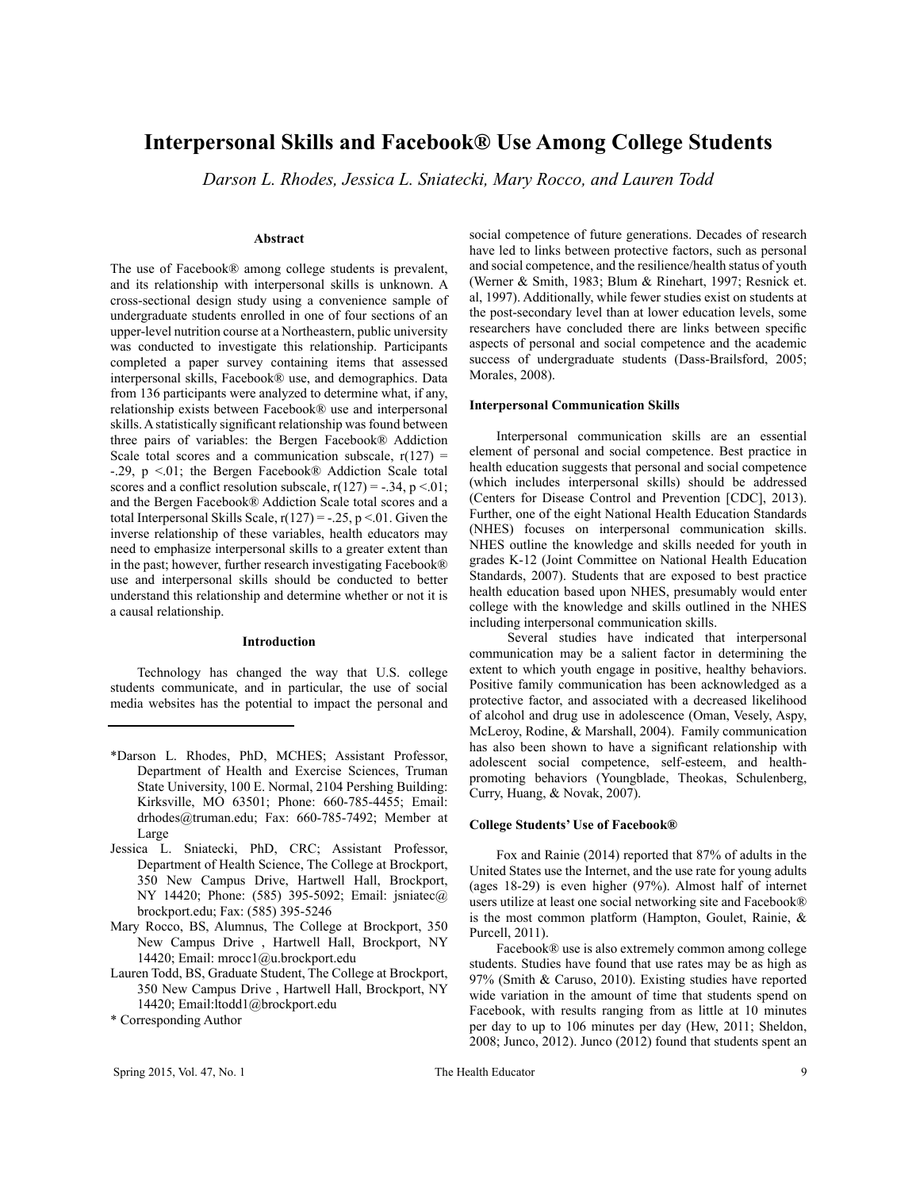# **Interpersonal Skills and Facebook® Use Among College Students**

*Darson L. Rhodes, Jessica L. Sniatecki, Mary Rocco, and Lauren Todd*

## **Abstract**

The use of Facebook® among college students is prevalent, and its relationship with interpersonal skills is unknown. A cross-sectional design study using a convenience sample of undergraduate students enrolled in one of four sections of an upper-level nutrition course at a Northeastern, public university was conducted to investigate this relationship. Participants completed a paper survey containing items that assessed interpersonal skills, Facebook® use, and demographics. Data from 136 participants were analyzed to determine what, if any, relationship exists between Facebook® use and interpersonal skills. A statistically significant relationship was found between three pairs of variables: the Bergen Facebook® Addiction Scale total scores and a communication subscale,  $r(127)$  = -.29,  $p$  <.01; the Bergen Facebook® Addiction Scale total scores and a conflict resolution subscale,  $r(127) = -.34$ ,  $p < .01$ ; and the Bergen Facebook® Addiction Scale total scores and a total Interpersonal Skills Scale,  $r(127) = -.25$ ,  $p < 01$ . Given the inverse relationship of these variables, health educators may need to emphasize interpersonal skills to a greater extent than in the past; however, further research investigating Facebook® use and interpersonal skills should be conducted to better understand this relationship and determine whether or not it is a causal relationship.

## **Introduction**

Technology has changed the way that U.S. college students communicate, and in particular, the use of social media websites has the potential to impact the personal and

- \*Darson L. Rhodes, PhD, MCHES; Assistant Professor, Department of Health and Exercise Sciences, Truman State University, 100 E. Normal, 2104 Pershing Building: Kirksville, MO 63501; Phone: 660-785-4455; Email: drhodes@truman.edu; Fax: 660-785-7492; Member at Large
- Jessica L. Sniatecki, PhD, CRC; Assistant Professor, Department of Health Science, The College at Brockport, 350 New Campus Drive, Hartwell Hall, Brockport, NY 14420; Phone: (585) 395-5092; Email: jsniatec@ brockport.edu; Fax: (585) 395-5246
- Mary Rocco, BS, Alumnus, The College at Brockport, 350 New Campus Drive , Hartwell Hall, Brockport, NY 14420; Email: mrocc1@u.brockport.edu
- Lauren Todd, BS, Graduate Student, The College at Brockport, 350 New Campus Drive , Hartwell Hall, Brockport, NY 14420; Email:ltodd1@brockport.edu
- \* Corresponding Author

social competence of future generations. Decades of research have led to links between protective factors, such as personal and social competence, and the resilience/health status of youth (Werner & Smith, 1983; Blum & Rinehart, 1997; Resnick et. al, 1997). Additionally, while fewer studies exist on students at the post-secondary level than at lower education levels, some researchers have concluded there are links between specific aspects of personal and social competence and the academic success of undergraduate students (Dass-Brailsford, 2005; Morales, 2008).

#### **Interpersonal Communication Skills**

Interpersonal communication skills are an essential element of personal and social competence. Best practice in health education suggests that personal and social competence (which includes interpersonal skills) should be addressed (Centers for Disease Control and Prevention [CDC], 2013). Further, one of the eight National Health Education Standards (NHES) focuses on interpersonal communication skills. NHES outline the knowledge and skills needed for youth in grades K-12 (Joint Committee on National Health Education Standards, 2007). Students that are exposed to best practice health education based upon NHES, presumably would enter college with the knowledge and skills outlined in the NHES including interpersonal communication skills.

 Several studies have indicated that interpersonal communication may be a salient factor in determining the extent to which youth engage in positive, healthy behaviors. Positive family communication has been acknowledged as a protective factor, and associated with a decreased likelihood of alcohol and drug use in adolescence (Oman, Vesely, Aspy, McLeroy, Rodine, & Marshall, 2004). Family communication has also been shown to have a significant relationship with adolescent social competence, self-esteem, and healthpromoting behaviors (Youngblade, Theokas, Schulenberg, Curry, Huang, & Novak, 2007).

## **College Students' Use of Facebook®**

Fox and Rainie (2014) reported that 87% of adults in the United States use the Internet, and the use rate for young adults (ages 18-29) is even higher (97%). Almost half of internet users utilize at least one social networking site and Facebook® is the most common platform (Hampton, Goulet, Rainie, & Purcell, 2011).

Facebook® use is also extremely common among college students. Studies have found that use rates may be as high as 97% (Smith & Caruso, 2010). Existing studies have reported wide variation in the amount of time that students spend on Facebook, with results ranging from as little at 10 minutes per day to up to 106 minutes per day (Hew, 2011; Sheldon, 2008; Junco, 2012). Junco (2012) found that students spent an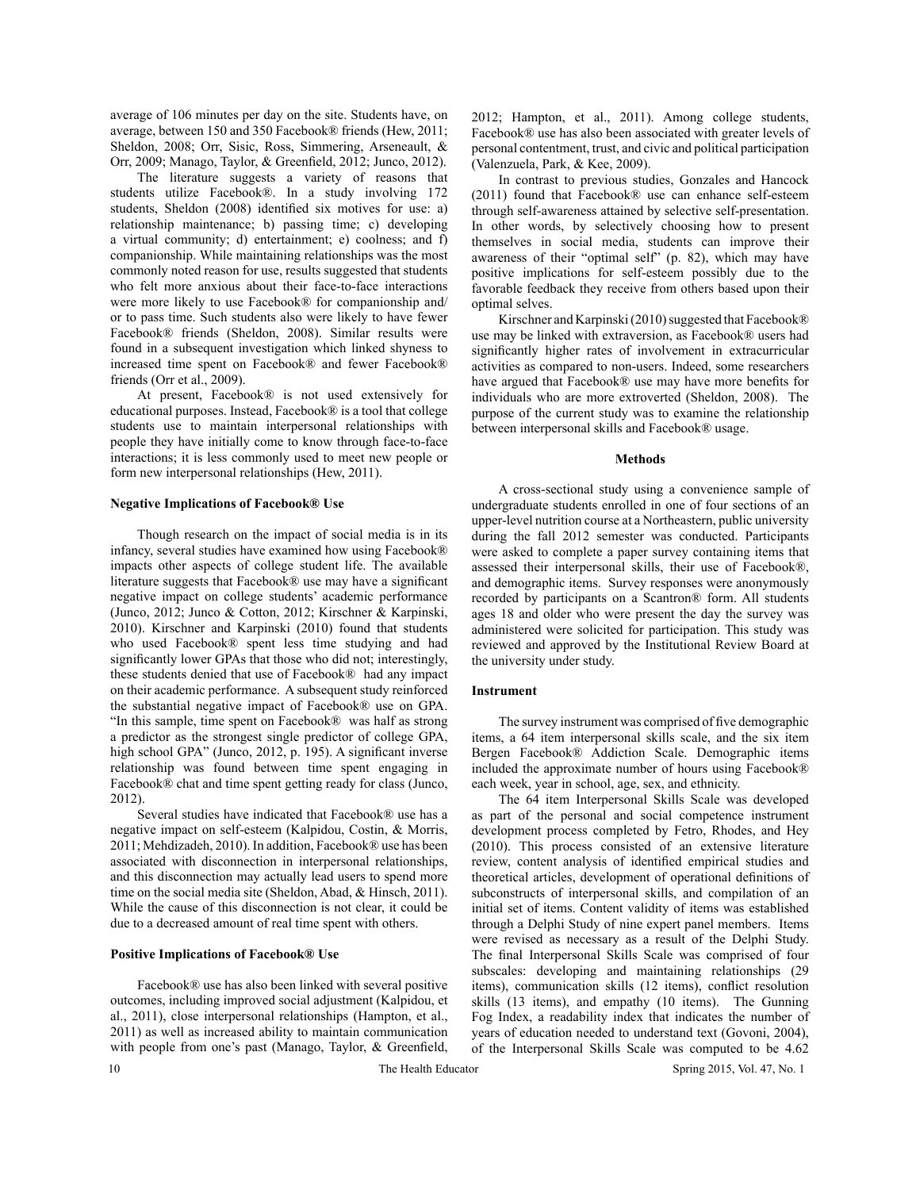average of 106 minutes per day on the site. Students have, on average, between 150 and 350 Facebook® friends (Hew, 2011; Sheldon, 2008; Orr, Sisic, Ross, Simmering, Arseneault, & Orr, 2009; Manago, Taylor, & Greenfield, 2012; Junco, 2012).

The literature suggests a variety of reasons that students utilize Facebook®. In a study involving 172 students, Sheldon (2008) identified six motives for use: a) relationship maintenance; b) passing time; c) developing a virtual community; d) entertainment; e) coolness; and f) companionship. While maintaining relationships was the most commonly noted reason for use, results suggested that students who felt more anxious about their face-to-face interactions were more likely to use Facebook® for companionship and/ or to pass time. Such students also were likely to have fewer Facebook® friends (Sheldon, 2008). Similar results were found in a subsequent investigation which linked shyness to increased time spent on Facebook® and fewer Facebook® friends (Orr et al., 2009).

At present, Facebook® is not used extensively for educational purposes. Instead, Facebook® is a tool that college students use to maintain interpersonal relationships with people they have initially come to know through face-to-face interactions; it is less commonly used to meet new people or form new interpersonal relationships (Hew, 2011).

### **Negative Implications of Facebook® Use**

Though research on the impact of social media is in its infancy, several studies have examined how using Facebook® impacts other aspects of college student life. The available literature suggests that Facebook® use may have a significant negative impact on college students' academic performance (Junco, 2012; Junco & Cotton, 2012; Kirschner & Karpinski, 2010). Kirschner and Karpinski (2010) found that students who used Facebook® spent less time studying and had significantly lower GPAs that those who did not; interestingly, these students denied that use of Facebook® had any impact on their academic performance. A subsequent study reinforced the substantial negative impact of Facebook® use on GPA. "In this sample, time spent on Facebook® was half as strong a predictor as the strongest single predictor of college GPA, high school GPA" (Junco, 2012, p. 195). A significant inverse relationship was found between time spent engaging in Facebook® chat and time spent getting ready for class (Junco, 2012).

Several studies have indicated that Facebook® use has a negative impact on self-esteem (Kalpidou, Costin, & Morris, 2011; Mehdizadeh, 2010). In addition, Facebook® use has been associated with disconnection in interpersonal relationships, and this disconnection may actually lead users to spend more time on the social media site (Sheldon, Abad, & Hinsch, 2011). While the cause of this disconnection is not clear, it could be due to a decreased amount of real time spent with others.

#### **Positive Implications of Facebook® Use**

Facebook® use has also been linked with several positive outcomes, including improved social adjustment (Kalpidou, et al., 2011), close interpersonal relationships (Hampton, et al., 2011) as well as increased ability to maintain communication with people from one's past (Manago, Taylor, & Greenfield,

2012; Hampton, et al., 2011). Among college students, Facebook® use has also been associated with greater levels of personal contentment, trust, and civic and political participation (Valenzuela, Park, & Kee, 2009).

In contrast to previous studies, Gonzales and Hancock (2011) found that Facebook® use can enhance self-esteem through self-awareness attained by selective self-presentation. In other words, by selectively choosing how to present themselves in social media, students can improve their awareness of their "optimal self" (p. 82), which may have positive implications for self-esteem possibly due to the favorable feedback they receive from others based upon their optimal selves.

Kirschner and Karpinski (2010) suggested that Facebook® use may be linked with extraversion, as Facebook® users had significantly higher rates of involvement in extracurricular activities as compared to non-users. Indeed, some researchers have argued that Facebook® use may have more benefits for individuals who are more extroverted (Sheldon, 2008). The purpose of the current study was to examine the relationship between interpersonal skills and Facebook® usage.

#### **Methods**

A cross-sectional study using a convenience sample of undergraduate students enrolled in one of four sections of an upper-level nutrition course at a Northeastern, public university during the fall 2012 semester was conducted. Participants were asked to complete a paper survey containing items that assessed their interpersonal skills, their use of Facebook®, and demographic items. Survey responses were anonymously recorded by participants on a Scantron® form. All students ages 18 and older who were present the day the survey was administered were solicited for participation. This study was reviewed and approved by the Institutional Review Board at the university under study.

#### **Instrument**

The survey instrument was comprised of five demographic items, a 64 item interpersonal skills scale, and the six item Bergen Facebook® Addiction Scale. Demographic items included the approximate number of hours using Facebook® each week, year in school, age, sex, and ethnicity.

The 64 item Interpersonal Skills Scale was developed as part of the personal and social competence instrument development process completed by Fetro, Rhodes, and Hey (2010). This process consisted of an extensive literature review, content analysis of identified empirical studies and theoretical articles, development of operational definitions of subconstructs of interpersonal skills, and compilation of an initial set of items. Content validity of items was established through a Delphi Study of nine expert panel members. Items were revised as necessary as a result of the Delphi Study. The final Interpersonal Skills Scale was comprised of four subscales: developing and maintaining relationships (29 items), communication skills (12 items), conflict resolution skills (13 items), and empathy (10 items). The Gunning Fog Index, a readability index that indicates the number of years of education needed to understand text (Govoni, 2004), of the Interpersonal Skills Scale was computed to be 4.62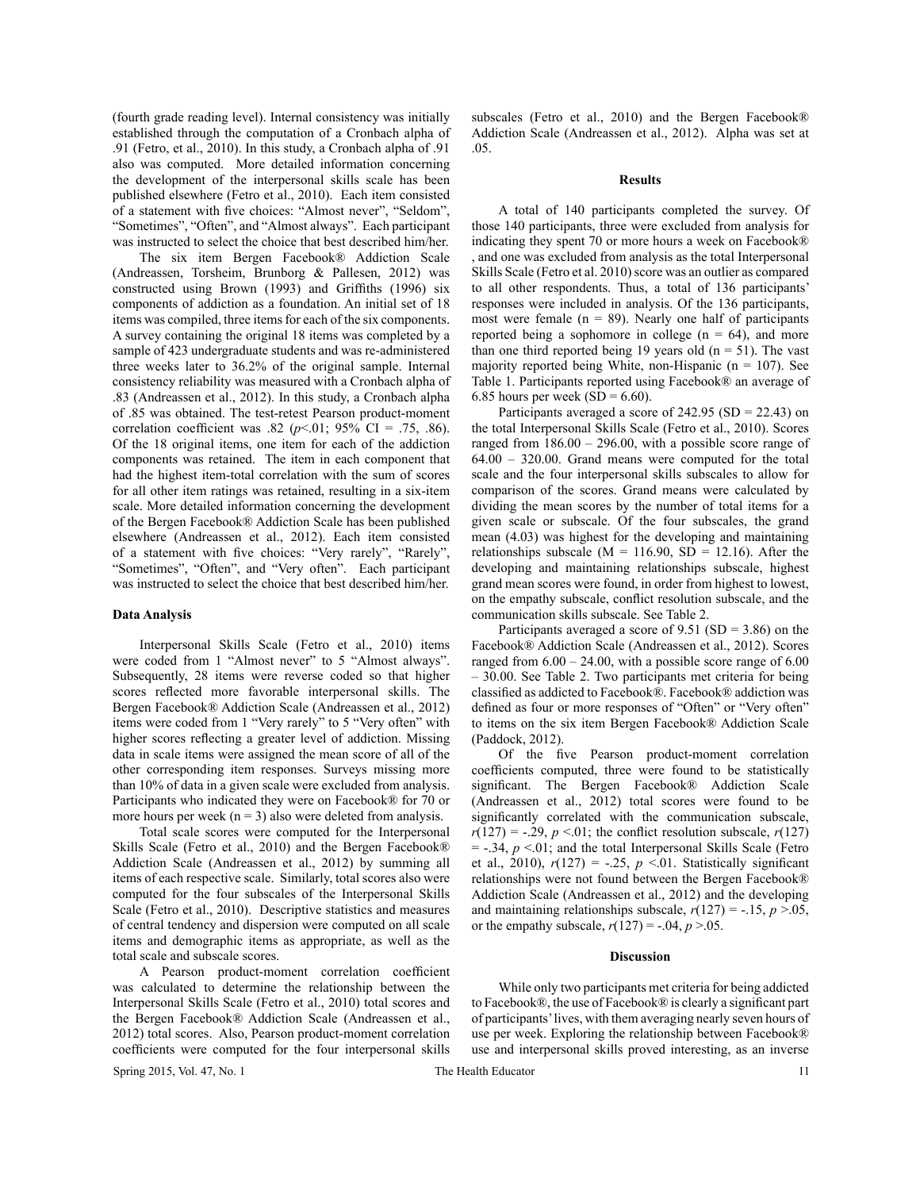(fourth grade reading level). Internal consistency was initially established through the computation of a Cronbach alpha of .91 (Fetro, et al., 2010). In this study, a Cronbach alpha of .91 also was computed. More detailed information concerning the development of the interpersonal skills scale has been published elsewhere (Fetro et al., 2010). Each item consisted of a statement with five choices: "Almost never", "Seldom", "Sometimes", "Often", and "Almost always". Each participant was instructed to select the choice that best described him/her.

The six item Bergen Facebook® Addiction Scale (Andreassen, Torsheim, Brunborg & Pallesen, 2012) was constructed using Brown (1993) and Griffiths (1996) six components of addiction as a foundation. An initial set of 18 items was compiled, three items for each of the six components. A survey containing the original 18 items was completed by a sample of 423 undergraduate students and was re-administered three weeks later to 36.2% of the original sample. Internal consistency reliability was measured with a Cronbach alpha of .83 (Andreassen et al., 2012). In this study, a Cronbach alpha of .85 was obtained. The test-retest Pearson product-moment correlation coefficient was .82 ( $p$ <.01; 95% CI = .75, .86). Of the 18 original items, one item for each of the addiction components was retained. The item in each component that had the highest item-total correlation with the sum of scores for all other item ratings was retained, resulting in a six-item scale. More detailed information concerning the development of the Bergen Facebook® Addiction Scale has been published elsewhere (Andreassen et al., 2012). Each item consisted of a statement with five choices: "Very rarely", "Rarely", "Sometimes", "Often", and "Very often". Each participant was instructed to select the choice that best described him/her.

#### **Data Analysis**

Interpersonal Skills Scale (Fetro et al., 2010) items were coded from 1 "Almost never" to 5 "Almost always". Subsequently, 28 items were reverse coded so that higher scores reflected more favorable interpersonal skills. The Bergen Facebook® Addiction Scale (Andreassen et al., 2012) items were coded from 1 "Very rarely" to 5 "Very often" with higher scores reflecting a greater level of addiction. Missing data in scale items were assigned the mean score of all of the other corresponding item responses. Surveys missing more than 10% of data in a given scale were excluded from analysis. Participants who indicated they were on Facebook® for 70 or more hours per week ( $n = 3$ ) also were deleted from analysis.

Total scale scores were computed for the Interpersonal Skills Scale (Fetro et al., 2010) and the Bergen Facebook® Addiction Scale (Andreassen et al., 2012) by summing all items of each respective scale. Similarly, total scores also were computed for the four subscales of the Interpersonal Skills Scale (Fetro et al., 2010). Descriptive statistics and measures of central tendency and dispersion were computed on all scale items and demographic items as appropriate, as well as the total scale and subscale scores.

A Pearson product-moment correlation coefficient was calculated to determine the relationship between the Interpersonal Skills Scale (Fetro et al., 2010) total scores and the Bergen Facebook® Addiction Scale (Andreassen et al., 2012) total scores. Also, Pearson product-moment correlation coefficients were computed for the four interpersonal skills

subscales (Fetro et al., 2010) and the Bergen Facebook® Addiction Scale (Andreassen et al., 2012). Alpha was set at .05.

#### **Results**

A total of 140 participants completed the survey. Of those 140 participants, three were excluded from analysis for indicating they spent 70 or more hours a week on Facebook® , and one was excluded from analysis as the total Interpersonal Skills Scale (Fetro et al. 2010) score was an outlier as compared to all other respondents. Thus, a total of 136 participants' responses were included in analysis. Of the 136 participants, most were female ( $n = 89$ ). Nearly one half of participants reported being a sophomore in college  $(n = 64)$ , and more than one third reported being 19 years old  $(n = 51)$ . The vast majority reported being White, non-Hispanic ( $n = 107$ ). See Table 1. Participants reported using Facebook® an average of 6.85 hours per week ( $SD = 6.60$ ).

Participants averaged a score of  $242.95$  (SD = 22.43) on the total Interpersonal Skills Scale (Fetro et al., 2010). Scores ranged from 186.00 – 296.00, with a possible score range of 64.00 – 320.00. Grand means were computed for the total scale and the four interpersonal skills subscales to allow for comparison of the scores. Grand means were calculated by dividing the mean scores by the number of total items for a given scale or subscale. Of the four subscales, the grand mean (4.03) was highest for the developing and maintaining relationships subscale ( $M = 116.90$ ,  $SD = 12.16$ ). After the developing and maintaining relationships subscale, highest grand mean scores were found, in order from highest to lowest, on the empathy subscale, conflict resolution subscale, and the communication skills subscale. See Table 2.

Participants averaged a score of  $9.51$  (SD = 3.86) on the Facebook® Addiction Scale (Andreassen et al., 2012). Scores ranged from 6.00 – 24.00, with a possible score range of 6.00 – 30.00. See Table 2. Two participants met criteria for being classified as addicted to Facebook®. Facebook® addiction was defined as four or more responses of "Often" or "Very often" to items on the six item Bergen Facebook® Addiction Scale (Paddock, 2012).

Of the five Pearson product-moment correlation coefficients computed, three were found to be statistically significant. The Bergen Facebook® Addiction Scale (Andreassen et al., 2012) total scores were found to be significantly correlated with the communication subscale,  $r(127) = -.29$ ,  $p \le 01$ ; the conflict resolution subscale,  $r(127)$  $=$  -.34,  $p \le 01$ ; and the total Interpersonal Skills Scale (Fetro et al., 2010),  $r(127) = -.25$ ,  $p \le 01$ . Statistically significant relationships were not found between the Bergen Facebook® Addiction Scale (Andreassen et al., 2012) and the developing and maintaining relationships subscale,  $r(127) = -.15$ ,  $p > .05$ , or the empathy subscale,  $r(127) = -.04, p > .05$ .

#### **Discussion**

While only two participants met criteria for being addicted to Facebook®, the use of Facebook® is clearly a significant part of participants' lives, with them averaging nearly seven hours of use per week. Exploring the relationship between Facebook® use and interpersonal skills proved interesting, as an inverse

Spring 2015, Vol. 47, No. 1 The Health Educator 11 The Health Educator 11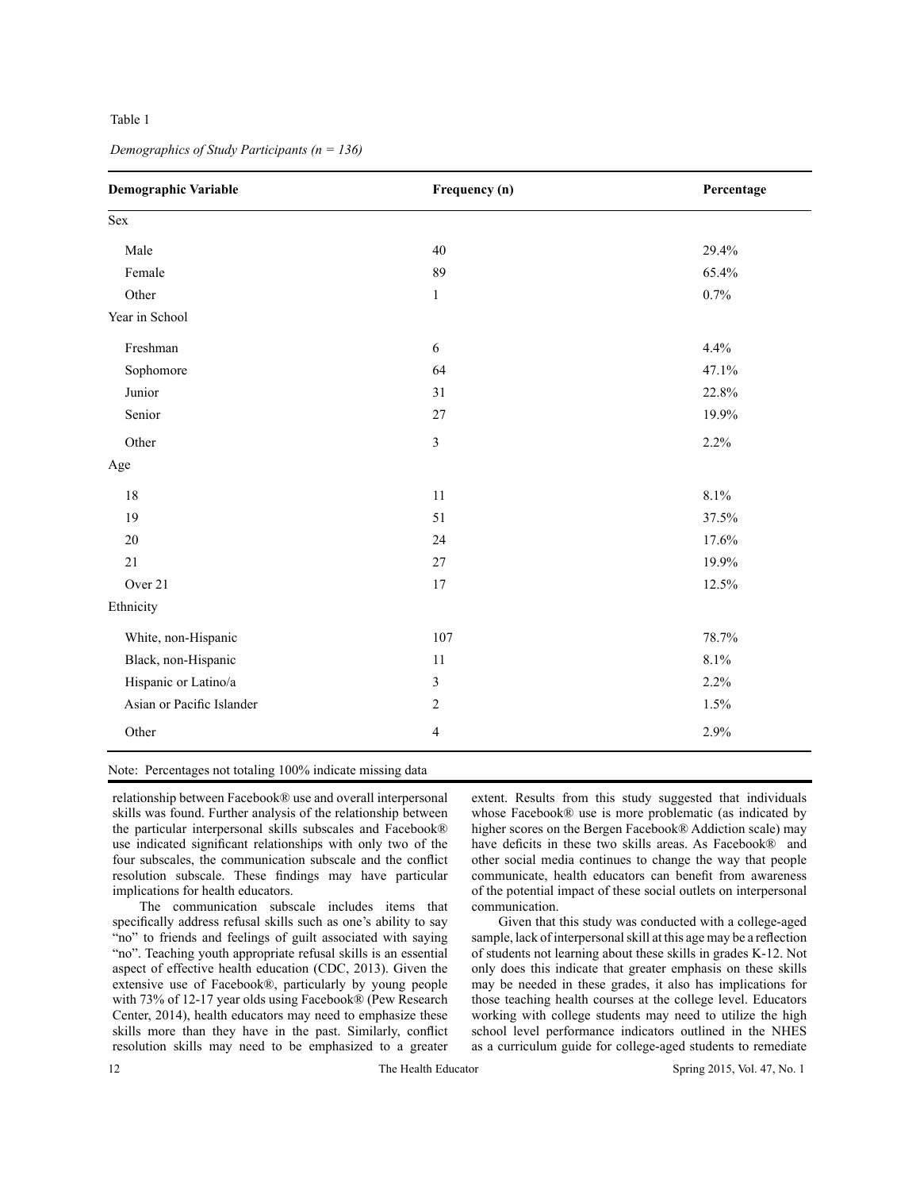## Table 1

|                           |                  | Percentage |
|---------------------------|------------------|------------|
| Sex                       |                  |            |
| Male                      | 40               | 29.4%      |
| Female                    | 89               | 65.4%      |
| Other                     | $\mathbf{1}$     | 0.7%       |
| Year in School            |                  |            |
| Freshman                  | 6                | 4.4%       |
| Sophomore                 | 64               | 47.1%      |
| Junior                    | 31               | 22.8%      |
| Senior                    | 27               | 19.9%      |
| Other                     | $\overline{3}$   | 2.2%       |
| Age                       |                  |            |
| 18                        | 11               | 8.1%       |
| 19                        | 51               | 37.5%      |
| 20                        | 24               | 17.6%      |
| 21                        | 27               | 19.9%      |
| Over 21                   | 17               | 12.5%      |
| Ethnicity                 |                  |            |
| White, non-Hispanic       | 107              | 78.7%      |
| Black, non-Hispanic       | 11               | 8.1%       |
| Hispanic or Latino/a      | 3                | 2.2%       |
| Asian or Pacific Islander | $\boldsymbol{2}$ | 1.5%       |
| Other                     | $\overline{4}$   | 2.9%       |

*Demographics of Study Participants (n = 136)*

Note: Percentages not totaling 100% indicate missing data

relationship between Facebook® use and overall interpersonal skills was found. Further analysis of the relationship between the particular interpersonal skills subscales and Facebook® use indicated significant relationships with only two of the four subscales, the communication subscale and the conflict resolution subscale. These findings may have particular implications for health educators.

The communication subscale includes items that specifically address refusal skills such as one's ability to say "no" to friends and feelings of guilt associated with saying "no". Teaching youth appropriate refusal skills is an essential aspect of effective health education (CDC, 2013). Given the extensive use of Facebook®, particularly by young people with 73% of 12-17 year olds using Facebook® (Pew Research Center, 2014), health educators may need to emphasize these skills more than they have in the past. Similarly, conflict resolution skills may need to be emphasized to a greater

extent. Results from this study suggested that individuals whose Facebook® use is more problematic (as indicated by higher scores on the Bergen Facebook® Addiction scale) may have deficits in these two skills areas. As Facebook® and other social media continues to change the way that people communicate, health educators can benefit from awareness of the potential impact of these social outlets on interpersonal communication.

Given that this study was conducted with a college-aged sample, lack of interpersonal skill at this age may be a reflection of students not learning about these skills in grades K-12. Not only does this indicate that greater emphasis on these skills may be needed in these grades, it also has implications for those teaching health courses at the college level. Educators working with college students may need to utilize the high school level performance indicators outlined in the NHES as a curriculum guide for college-aged students to remediate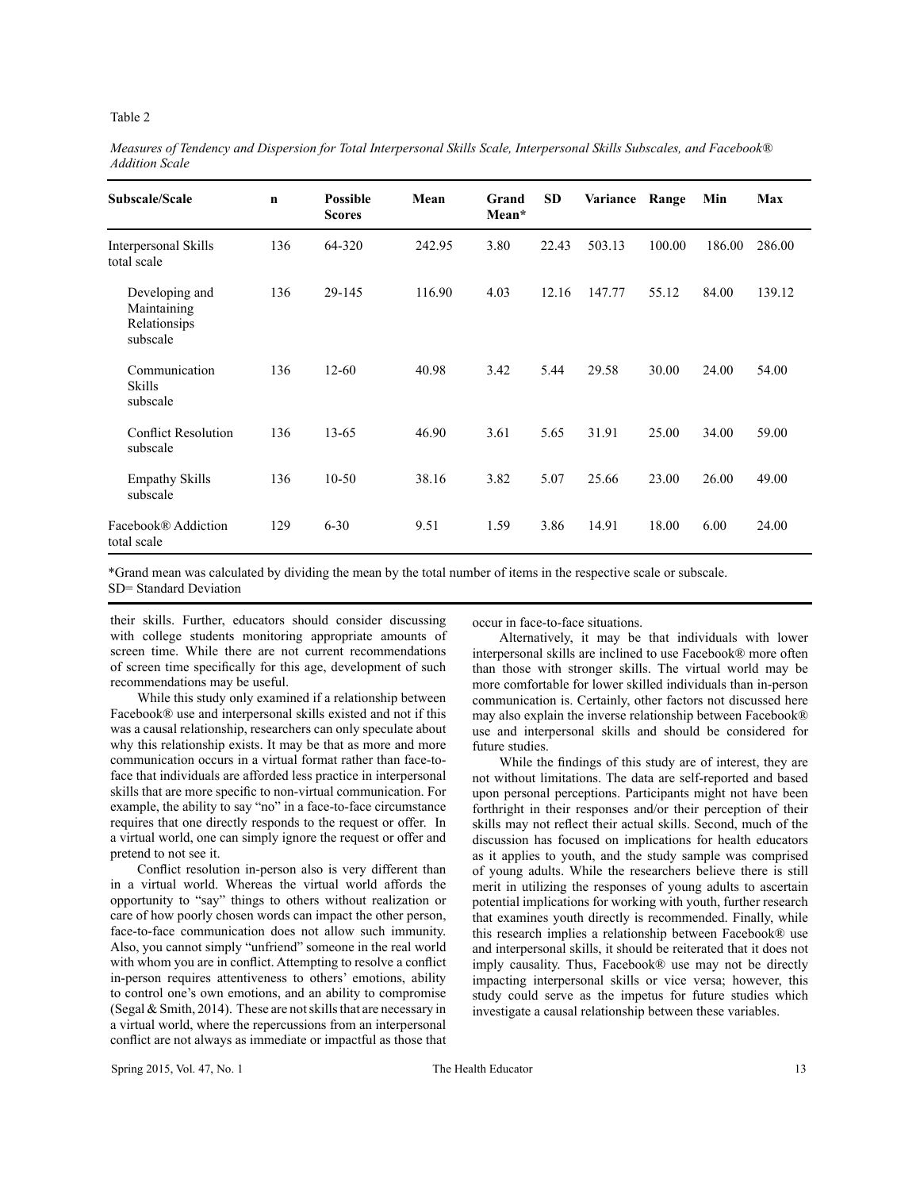#### Table 2

| Subscale/Scale                                            | $\mathbf n$ | <b>Possible</b><br><b>Scores</b> | Mean   | Grand<br>Mean* | <b>SD</b> | Variance | Range  | Min    | Max    |
|-----------------------------------------------------------|-------------|----------------------------------|--------|----------------|-----------|----------|--------|--------|--------|
| Interpersonal Skills<br>total scale                       | 136         | 64-320                           | 242.95 | 3.80           | 22.43     | 503.13   | 100.00 | 186.00 | 286.00 |
| Developing and<br>Maintaining<br>Relationsips<br>subscale | 136         | 29-145                           | 116.90 | 4.03           | 12.16     | 147.77   | 55.12  | 84.00  | 139.12 |
| Communication<br>Skills<br>subscale                       | 136         | $12 - 60$                        | 40.98  | 3.42           | 5.44      | 29.58    | 30.00  | 24.00  | 54.00  |
| <b>Conflict Resolution</b><br>subscale                    | 136         | $13 - 65$                        | 46.90  | 3.61           | 5.65      | 31.91    | 25.00  | 34.00  | 59.00  |
| <b>Empathy Skills</b><br>subscale                         | 136         | $10 - 50$                        | 38.16  | 3.82           | 5.07      | 25.66    | 23.00  | 26.00  | 49.00  |
| Facebook® Addiction<br>total scale                        | 129         | $6 - 30$                         | 9.51   | 1.59           | 3.86      | 14.91    | 18.00  | 6.00   | 24.00  |

*Measures of Tendency and Dispersion for Total Interpersonal Skills Scale, Interpersonal Skills Subscales, and Facebook® Addition Scale*

\*Grand mean was calculated by dividing the mean by the total number of items in the respective scale or subscale. SD= Standard Deviation

their skills. Further, educators should consider discussing with college students monitoring appropriate amounts of screen time. While there are not current recommendations of screen time specifically for this age, development of such recommendations may be useful.

While this study only examined if a relationship between Facebook® use and interpersonal skills existed and not if this was a causal relationship, researchers can only speculate about why this relationship exists. It may be that as more and more communication occurs in a virtual format rather than face-toface that individuals are afforded less practice in interpersonal skills that are more specific to non-virtual communication. For example, the ability to say "no" in a face-to-face circumstance requires that one directly responds to the request or offer. In a virtual world, one can simply ignore the request or offer and pretend to not see it.

Conflict resolution in-person also is very different than in a virtual world. Whereas the virtual world affords the opportunity to "say" things to others without realization or care of how poorly chosen words can impact the other person, face-to-face communication does not allow such immunity. Also, you cannot simply "unfriend" someone in the real world with whom you are in conflict. Attempting to resolve a conflict in-person requires attentiveness to others' emotions, ability to control one's own emotions, and an ability to compromise (Segal  $&$  Smith, 2014). These are not skills that are necessary in a virtual world, where the repercussions from an interpersonal conflict are not always as immediate or impactful as those that

occur in face-to-face situations.

Alternatively, it may be that individuals with lower interpersonal skills are inclined to use Facebook® more often than those with stronger skills. The virtual world may be more comfortable for lower skilled individuals than in-person communication is. Certainly, other factors not discussed here may also explain the inverse relationship between Facebook® use and interpersonal skills and should be considered for future studies.

While the findings of this study are of interest, they are not without limitations. The data are self-reported and based upon personal perceptions. Participants might not have been forthright in their responses and/or their perception of their skills may not reflect their actual skills. Second, much of the discussion has focused on implications for health educators as it applies to youth, and the study sample was comprised of young adults. While the researchers believe there is still merit in utilizing the responses of young adults to ascertain potential implications for working with youth, further research that examines youth directly is recommended. Finally, while this research implies a relationship between Facebook® use and interpersonal skills, it should be reiterated that it does not imply causality. Thus, Facebook® use may not be directly impacting interpersonal skills or vice versa; however, this study could serve as the impetus for future studies which investigate a causal relationship between these variables.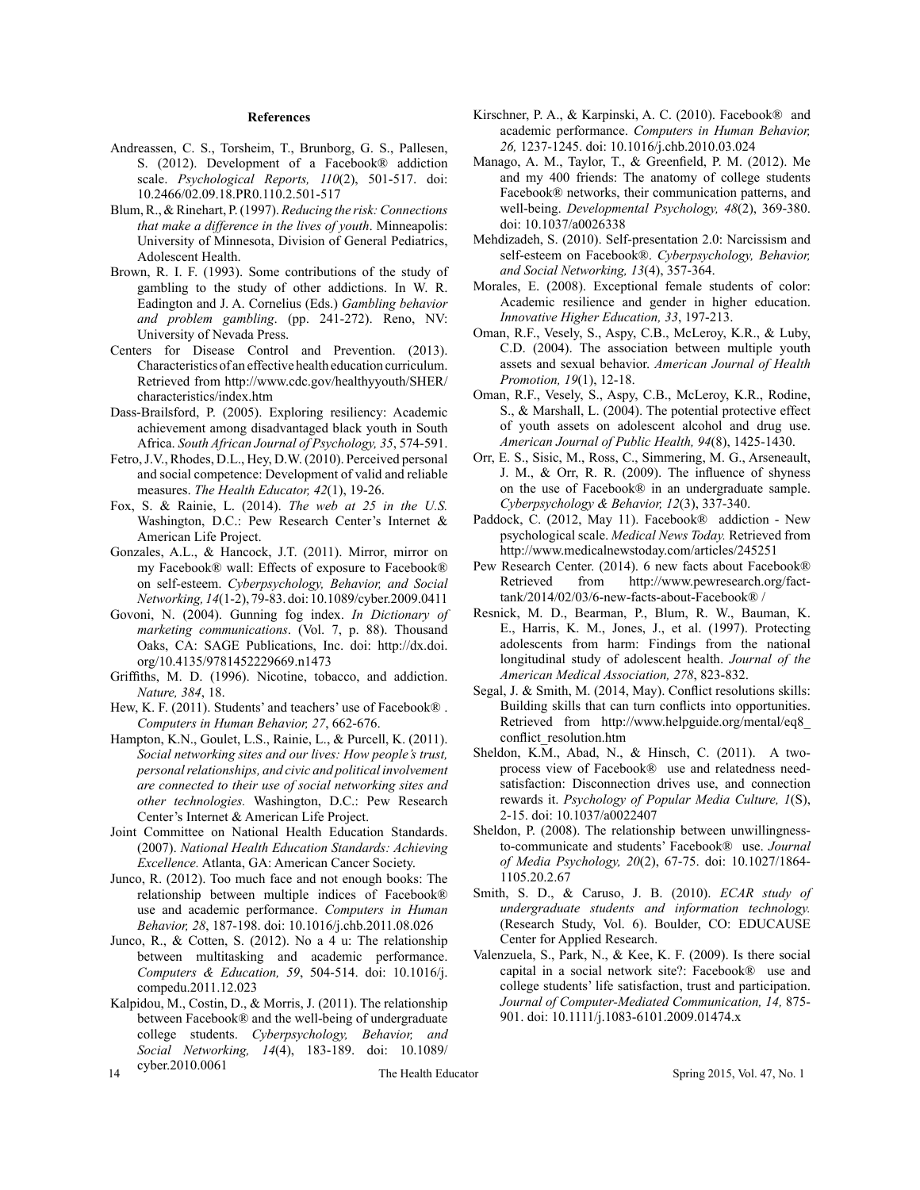#### **References**

- Andreassen, C. S., Torsheim, T., Brunborg, G. S., Pallesen, S. (2012). Development of a Facebook® addiction scale. *Psychological Reports, 110*(2), 501-517. doi: 10.2466/02.09.18.PR0.110.2.501-517
- Blum, R., & Rinehart, P. (1997). *Reducing the risk: Connections that make a difference in the lives of youth*. Minneapolis: University of Minnesota, Division of General Pediatrics, Adolescent Health.
- Brown, R. I. F. (1993). Some contributions of the study of gambling to the study of other addictions. In W. R. Eadington and J. A. Cornelius (Eds.) *Gambling behavior and problem gambling*. (pp. 241-272). Reno, NV: University of Nevada Press.
- Centers for Disease Control and Prevention. (2013). Characteristics of an effective health education curriculum. Retrieved from http://www.cdc.gov/healthyyouth/SHER/ characteristics/index.htm
- Dass-Brailsford, P. (2005). Exploring resiliency: Academic achievement among disadvantaged black youth in South Africa. *South African Journal of Psychology, 35*, 574-591.
- Fetro, J.V., Rhodes, D.L., Hey, D.W. (2010). Perceived personal and social competence: Development of valid and reliable measures. *The Health Educator, 42*(1), 19-26.
- Fox, S. & Rainie, L. (2014). *The web at 25 in the U.S.*  Washington, D.C.: Pew Research Center's Internet & American Life Project.
- Gonzales, A.L., & Hancock, J.T. (2011). Mirror, mirror on my Facebook® wall: Effects of exposure to Facebook® on self-esteem. *Cyberpsychology, Behavior, and Social Networking, 14*(1-2), 79-83. doi: 10.1089/cyber.2009.0411
- Govoni, N. (2004). Gunning fog index. *In Dictionary of marketing communications*. (Vol. 7, p. 88). Thousand Oaks, CA: SAGE Publications, Inc. doi: http://dx.doi. org/10.4135/9781452229669.n1473
- Griffiths, M. D. (1996). Nicotine, tobacco, and addiction. *Nature, 384*, 18.
- Hew, K. F. (2011). Students' and teachers' use of Facebook® . *Computers in Human Behavior, 27*, 662-676.
- Hampton, K.N., Goulet, L.S., Rainie, L., & Purcell, K. (2011). *Social networking sites and our lives: How people's trust, personal relationships, and civic and political involvement are connected to their use of social networking sites and other technologies.* Washington, D.C.: Pew Research Center's Internet & American Life Project.
- Joint Committee on National Health Education Standards. (2007). *National Health Education Standards: Achieving Excellence.* Atlanta, GA: American Cancer Society.
- Junco, R. (2012). Too much face and not enough books: The relationship between multiple indices of Facebook® use and academic performance. *Computers in Human Behavior, 28*, 187-198. doi: 10.1016/j.chb.2011.08.026
- Junco, R., & Cotten, S. (2012). No a 4 u: The relationship between multitasking and academic performance. *Computers & Education, 59*, 504-514. doi: 10.1016/j. compedu.2011.12.023
- Kalpidou, M., Costin, D., & Morris, J. (2011). The relationship between Facebook® and the well-being of undergraduate college students. *Cyberpsychology, Behavior, and Social Networking, 14*(4), 183-189. doi: 10.1089/ cyber.2010.0061
- Kirschner, P. A., & Karpinski, A. C. (2010). Facebook® and academic performance. *Computers in Human Behavior, 26,* 1237-1245. doi: 10.1016/j.chb.2010.03.024
- Manago, A. M., Taylor, T., & Greenfield, P. M. (2012). Me and my 400 friends: The anatomy of college students Facebook® networks, their communication patterns, and well-being. *Developmental Psychology, 48*(2), 369-380. doi: 10.1037/a0026338
- Mehdizadeh, S. (2010). Self-presentation 2.0: Narcissism and self-esteem on Facebook®. *Cyberpsychology, Behavior, and Social Networking, 13*(4), 357-364.
- Morales, E. (2008). Exceptional female students of color: Academic resilience and gender in higher education. *Innovative Higher Education, 33*, 197-213.
- Oman, R.F., Vesely, S., Aspy, C.B., McLeroy, K.R., & Luby, C.D. (2004). The association between multiple youth assets and sexual behavior. *American Journal of Health Promotion, 19*(1), 12-18.
- Oman, R.F., Vesely, S., Aspy, C.B., McLeroy, K.R., Rodine, S., & Marshall, L. (2004). The potential protective effect of youth assets on adolescent alcohol and drug use. *American Journal of Public Health, 94*(8), 1425-1430.
- Orr, E. S., Sisic, M., Ross, C., Simmering, M. G., Arseneault, J. M., & Orr, R. R. (2009). The influence of shyness on the use of Facebook® in an undergraduate sample. *Cyberpsychology & Behavior, 12*(3), 337-340.
- Paddock, C. (2012, May 11). Facebook® addiction New psychological scale. *Medical News Today.* Retrieved from http://www.medicalnewstoday.com/articles/245251
- Pew Research Center. (2014). 6 new facts about Facebook® Retrieved from http://www.pewresearch.org/facttank/2014/02/03/6-new-facts-about-Facebook® /
- Resnick, M. D., Bearman, P., Blum, R. W., Bauman, K. E., Harris, K. M., Jones, J., et al. (1997). Protecting adolescents from harm: Findings from the national longitudinal study of adolescent health. *Journal of the American Medical Association, 278*, 823-832.
- Segal, J. & Smith, M. (2014, May). Conflict resolutions skills: Building skills that can turn conflicts into opportunities. Retrieved from http://www.helpguide.org/mental/eq8\_ conflict\_resolution.htm
- Sheldon, K.M., Abad, N., & Hinsch, C. (2011). A twoprocess view of Facebook® use and relatedness needsatisfaction: Disconnection drives use, and connection rewards it. *Psychology of Popular Media Culture, 1*(S), 2-15. doi: 10.1037/a0022407
- Sheldon, P. (2008). The relationship between unwillingnessto-communicate and students' Facebook® use. *Journal of Media Psychology, 20*(2), 67-75. doi: 10.1027/1864- 1105.20.2.67
- Smith, S. D., & Caruso, J. B. (2010). *ECAR study of undergraduate students and information technology.*  (Research Study, Vol. 6). Boulder, CO: EDUCAUSE Center for Applied Research.
- Valenzuela, S., Park, N., & Kee, K. F. (2009). Is there social capital in a social network site?: Facebook® use and college students' life satisfaction, trust and participation. *Journal of Computer-Mediated Communication, 14,* 875- 901. doi: 10.1111/j.1083-6101.2009.01474.x